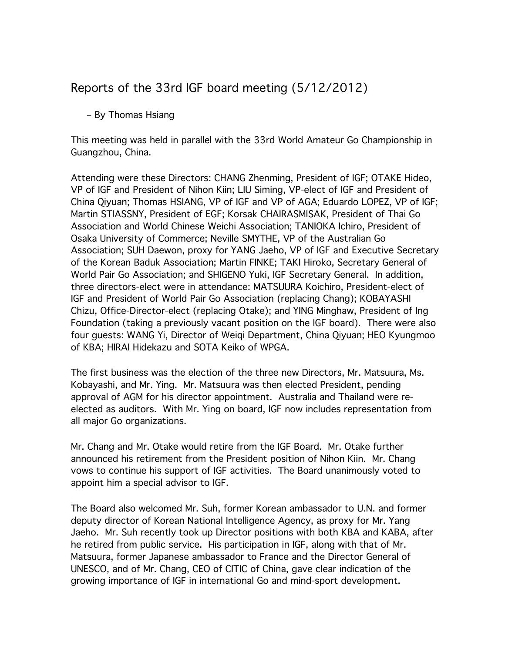# Reports of the 33rd IGF board meeting (5/12/2012)

#### – By Thomas Hsiang

This meeting was held in parallel with the 33rd World Amateur Go Championship in Guangzhou, China.

Attending were these Directors: CHANG Zhenming, President of IGF; OTAKE Hideo, VP of IGF and President of Nihon Kiin; LIU Siming, VP-elect of IGF and President of China Qiyuan; Thomas HSIANG, VP of IGF and VP of AGA; Eduardo LOPEZ, VP of IGF; Martin STIASSNY, President of EGF; Korsak CHAIRASMISAK, President of Thai Go Association and World Chinese Weichi Association; TANIOKA Ichiro, President of Osaka University of Commerce; Neville SMYTHE, VP of the Australian Go Association; SUH Daewon, proxy for YANG Jaeho, VP of IGF and Executive Secretary of the Korean Baduk Association; Martin FINKE; TAKI Hiroko, Secretary General of World Pair Go Association; and SHIGENO Yuki, IGF Secretary General. In addition, three directors-elect were in attendance: MATSUURA Koichiro, President-elect of IGF and President of World Pair Go Association (replacing Chang); KOBAYASHI Chizu, Office-Director-elect (replacing Otake); and YING Minghaw, President of Ing Foundation (taking a previously vacant position on the IGF board). There were also four guests: WANG Yi, Director of Weiqi Department, China Qiyuan; HEO Kyungmoo of KBA; HIRAI Hidekazu and SOTA Keiko of WPGA.

The first business was the election of the three new Directors, Mr. Matsuura, Ms. Kobayashi, and Mr. Ying. Mr. Matsuura was then elected President, pending approval of AGM for his director appointment. Australia and Thailand were reelected as auditors. With Mr. Ying on board, IGF now includes representation from all major Go organizations.

Mr. Chang and Mr. Otake would retire from the IGF Board. Mr. Otake further announced his retirement from the President position of Nihon Kiin. Mr. Chang vows to continue his support of IGF activities. The Board unanimously voted to appoint him a special advisor to IGF.

The Board also welcomed Mr. Suh, former Korean ambassador to U.N. and former deputy director of Korean National Intelligence Agency, as proxy for Mr. Yang Jaeho. Mr. Suh recently took up Director positions with both KBA and KABA, after he retired from public service. His participation in IGF, along with that of Mr. Matsuura, former Japanese ambassador to France and the Director General of UNESCO, and of Mr. Chang, CEO of CITIC of China, gave clear indication of the growing importance of IGF in international Go and mind-sport development.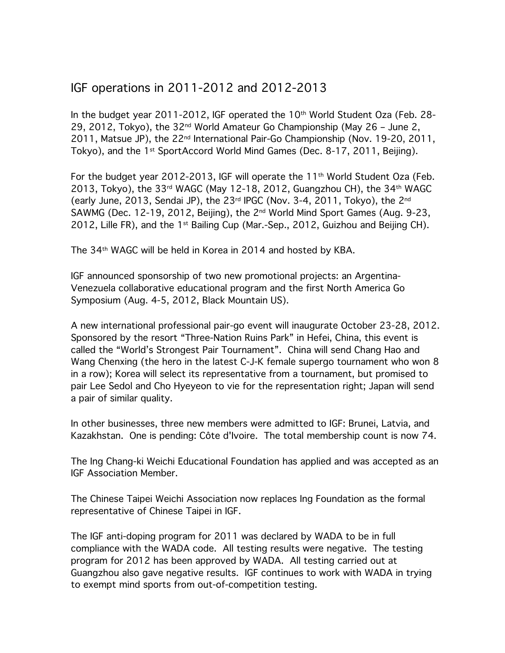## IGF operations in 2011-2012 and 2012-2013

In the budget year 2011-2012, IGF operated the 10th World Student Oza (Feb. 28- 29, 2012, Tokyo), the 32nd World Amateur Go Championship (May 26 – June 2, 2011, Matsue JP), the 22nd International Pair-Go Championship (Nov. 19-20, 2011, Tokyo), and the 1<sup>st</sup> SportAccord World Mind Games (Dec. 8-17, 2011, Beijing).

For the budget year 2012-2013, IGF will operate the 11<sup>th</sup> World Student Oza (Feb. 2013, Tokyo), the  $33<sup>rd</sup>$  WAGC (May 12-18, 2012, Guangzhou CH), the  $34<sup>th</sup>$  WAGC (early June, 2013, Sendai JP), the 23rd IPGC (Nov. 3-4, 2011, Tokyo), the 2nd SAWMG (Dec. 12-19, 2012, Beijing), the 2nd World Mind Sport Games (Aug. 9-23, 2012, Lille FR), and the 1st Bailing Cup (Mar.-Sep., 2012, Guizhou and Beijing CH).

The 34th WAGC will be held in Korea in 2014 and hosted by KBA.

IGF announced sponsorship of two new promotional projects: an Argentina-Venezuela collaborative educational program and the first North America Go Symposium (Aug. 4-5, 2012, Black Mountain US).

A new international professional pair-go event will inaugurate October 23-28, 2012. Sponsored by the resort "Three-Nation Ruins Park" in Hefei, China, this event is called the "World's Strongest Pair Tournament". China will send Chang Hao and Wang Chenxing (the hero in the latest C-J-K female supergo tournament who won 8 in a row); Korea will select its representative from a tournament, but promised to pair Lee Sedol and Cho Hyeyeon to vie for the representation right; Japan will send a pair of similar quality.

In other businesses, three new members were admitted to IGF: Brunei, Latvia, and Kazakhstan. One is pending: Côte d'Ivoire. The total membership count is now 74.

The Ing Chang-ki Weichi Educational Foundation has applied and was accepted as an IGF Association Member.

The Chinese Taipei Weichi Association now replaces Ing Foundation as the formal representative of Chinese Taipei in IGF.

The IGF anti-doping program for 2011 was declared by WADA to be in full compliance with the WADA code. All testing results were negative. The testing program for 2012 has been approved by WADA. All testing carried out at Guangzhou also gave negative results. IGF continues to work with WADA in trying to exempt mind sports from out-of-competition testing.